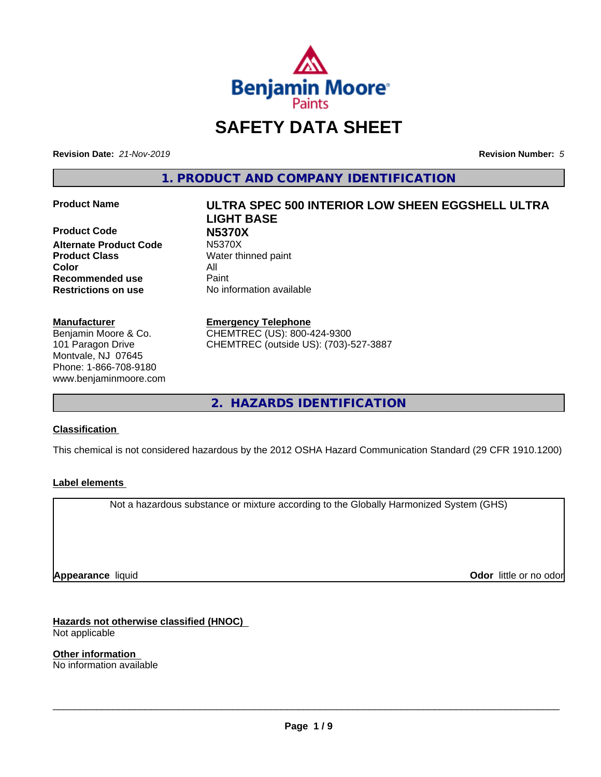

# **SAFETY DATA SHEET**

**Revision Date:** *21-Nov-2019* **Revision Number:** *5*

**1. PRODUCT AND COMPANY IDENTIFICATION**

**Product Code N5370X Alternate Product Code Product Class** Water thinned paint **Color** All **Recommended use** Paint **Restrictions on use** No information available

#### **Manufacturer**

Benjamin Moore & Co. 101 Paragon Drive Montvale, NJ 07645 Phone: 1-866-708-9180 www.benjaminmoore.com

# **Product Name ULTRA SPEC 500 INTERIOR LOW SHEEN EGGSHELL ULTRA LIGHT BASE**

**Emergency Telephone**

CHEMTREC (US): 800-424-9300 CHEMTREC (outside US): (703)-527-3887

**2. HAZARDS IDENTIFICATION**

#### **Classification**

This chemical is not considered hazardous by the 2012 OSHA Hazard Communication Standard (29 CFR 1910.1200)

#### **Label elements**

Not a hazardous substance or mixture according to the Globally Harmonized System (GHS)

**Appearance** liquid

**Odor** little or no odor

**Hazards not otherwise classified (HNOC)** Not applicable

**Other information** No information available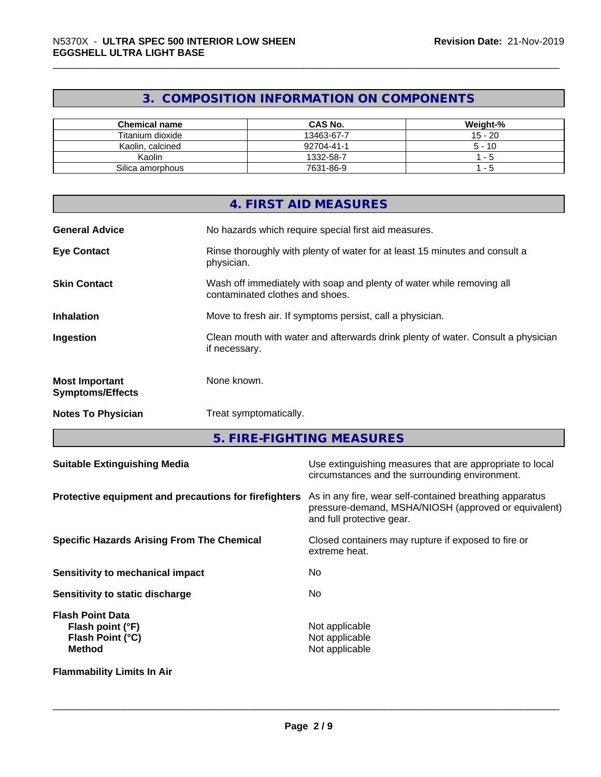### **3. COMPOSITION INFORMATION ON COMPONENTS**

| <b>Chemical name</b> | <b>CAS No.</b> | Weight-%  |
|----------------------|----------------|-----------|
| Titanium dioxide     | 13463-67-7     | $15 - 20$ |
| Kaolin, calcined     | 92704-41-1     | $5 - 10$  |
| Kaolin               | 1332-58-7      | - 5       |
| Silica amorphous     | 7631-86-9      | - 5       |

|                                                  | 4. FIRST AID MEASURES                                                                                    |
|--------------------------------------------------|----------------------------------------------------------------------------------------------------------|
| <b>General Advice</b>                            | No hazards which require special first aid measures.                                                     |
| <b>Eye Contact</b>                               | Rinse thoroughly with plenty of water for at least 15 minutes and consult a<br>physician.                |
| <b>Skin Contact</b>                              | Wash off immediately with soap and plenty of water while removing all<br>contaminated clothes and shoes. |
| <b>Inhalation</b>                                | Move to fresh air. If symptoms persist, call a physician.                                                |
| Ingestion                                        | Clean mouth with water and afterwards drink plenty of water. Consult a physician<br>if necessary.        |
| <b>Most Important</b><br><b>Symptoms/Effects</b> | None known.                                                                                              |
| <b>Notes To Physician</b>                        | Treat symptomatically.                                                                                   |

**5. FIRE-FIGHTING MEASURES**

| <b>Suitable Extinguishing Media</b>                                              | Use extinguishing measures that are appropriate to local<br>circumstances and the surrounding environment.                                   |
|----------------------------------------------------------------------------------|----------------------------------------------------------------------------------------------------------------------------------------------|
| Protective equipment and precautions for firefighters                            | As in any fire, wear self-contained breathing apparatus<br>pressure-demand, MSHA/NIOSH (approved or equivalent)<br>and full protective gear. |
| <b>Specific Hazards Arising From The Chemical</b>                                | Closed containers may rupture if exposed to fire or<br>extreme heat.                                                                         |
| <b>Sensitivity to mechanical impact</b>                                          | No.                                                                                                                                          |
| Sensitivity to static discharge                                                  | No.                                                                                                                                          |
| <b>Flash Point Data</b><br>Flash point (°F)<br>Flash Point (°C)<br><b>Method</b> | Not applicable<br>Not applicable<br>Not applicable                                                                                           |
| <b>Flammability Limits In Air</b>                                                |                                                                                                                                              |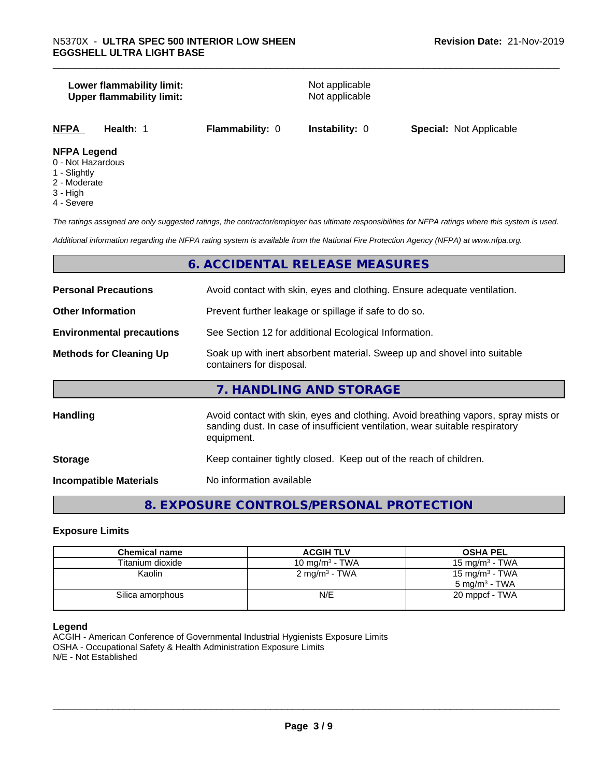#### **Lower flammability limit:**<br> **Upper flammability limit:**<br>
Upper flammability limit:<br>
Not applicable **Upper flammability limit:**

| NFPA | Health: | <b>Flammability: 0</b> | <b>Instability: 0</b> | <b>Special: Not Applicable</b> |  |
|------|---------|------------------------|-----------------------|--------------------------------|--|
|      |         |                        |                       |                                |  |

#### **NFPA Legend**

- 0 Not Hazardous
- 1 Slightly
- 2 Moderate
- 3 High
- 4 Severe

*The ratings assigned are only suggested ratings, the contractor/employer has ultimate responsibilities for NFPA ratings where this system is used.*

*Additional information regarding the NFPA rating system is available from the National Fire Protection Agency (NFPA) at www.nfpa.org.*

#### **6. ACCIDENTAL RELEASE MEASURES**

| <b>Personal Precautions</b>      | Avoid contact with skin, eyes and clothing. Ensure adequate ventilation.                                                                                                         |
|----------------------------------|----------------------------------------------------------------------------------------------------------------------------------------------------------------------------------|
| <b>Other Information</b>         | Prevent further leakage or spillage if safe to do so.                                                                                                                            |
| <b>Environmental precautions</b> | See Section 12 for additional Ecological Information.                                                                                                                            |
| <b>Methods for Cleaning Up</b>   | Soak up with inert absorbent material. Sweep up and shovel into suitable<br>containers for disposal.                                                                             |
|                                  | 7. HANDLING AND STORAGE                                                                                                                                                          |
| Handling                         | Avoid contact with skin, eyes and clothing. Avoid breathing vapors, spray mists or<br>sanding dust. In case of insufficient ventilation, wear suitable respiratory<br>equipment. |
| <b>Storage</b>                   | Keep container tightly closed. Keep out of the reach of children.                                                                                                                |
| <b>Incompatible Materials</b>    | No information available                                                                                                                                                         |

### **8. EXPOSURE CONTROLS/PERSONAL PROTECTION**

#### **Exposure Limits**

| <b>Chemical name</b> | <b>ACGIH TLV</b>         | <b>OSHA PEL</b>                                        |
|----------------------|--------------------------|--------------------------------------------------------|
| Titanium dioxide     | 10 mg/m $3$ - TWA        | 15 mg/m $3$ - TWA                                      |
| Kaolin               | $2 \text{ mg/m}^3$ - TWA | 15 mg/m <sup>3</sup> - TWA<br>$5 \text{ ma/m}^3$ - TWA |
| Silica amorphous     | N/E                      | 20 mppcf - TWA                                         |

#### **Legend**

ACGIH - American Conference of Governmental Industrial Hygienists Exposure Limits OSHA - Occupational Safety & Health Administration Exposure Limits N/E - Not Established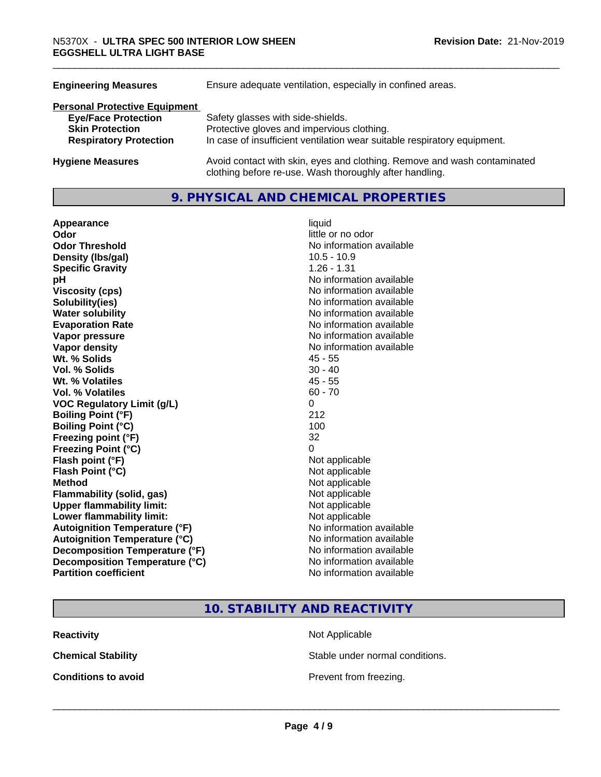| Ensure adequate ventilation, especially in confined areas.                                                                          |  |  |
|-------------------------------------------------------------------------------------------------------------------------------------|--|--|
|                                                                                                                                     |  |  |
| Safety glasses with side-shields.                                                                                                   |  |  |
| Protective gloves and impervious clothing.                                                                                          |  |  |
| In case of insufficient ventilation wear suitable respiratory equipment.                                                            |  |  |
| Avoid contact with skin, eyes and clothing. Remove and wash contaminated<br>clothing before re-use. Wash thoroughly after handling. |  |  |
|                                                                                                                                     |  |  |

#### **9. PHYSICAL AND CHEMICAL PROPERTIES**

| Appearance                            | liquid                   |
|---------------------------------------|--------------------------|
| Odor                                  | little or no odor        |
| <b>Odor Threshold</b>                 | No information available |
| Density (Ibs/gal)                     | $10.5 - 10.9$            |
| <b>Specific Gravity</b>               | 1.26 - 1.31              |
| pH                                    | No information available |
| <b>Viscosity (cps)</b>                | No information available |
| Solubility(ies)                       | No information available |
| <b>Water solubility</b>               | No information available |
| <b>Evaporation Rate</b>               | No information available |
| Vapor pressure                        | No information available |
| <b>Vapor density</b>                  | No information available |
| Wt. % Solids                          | $45 - 55$                |
| Vol. % Solids                         | $30 - 40$                |
| Wt. % Volatiles                       | $45 - 55$                |
| Vol. % Volatiles                      | $60 - 70$                |
| <b>VOC Regulatory Limit (g/L)</b>     | 0                        |
| <b>Boiling Point (°F)</b>             | 212                      |
| <b>Boiling Point (°C)</b>             | 100                      |
| Freezing point (°F)                   | 32                       |
| <b>Freezing Point (°C)</b>            | 0                        |
| Flash point (°F)                      | Not applicable           |
| Flash Point (°C)                      | Not applicable           |
| <b>Method</b>                         | Not applicable           |
| <b>Flammability (solid, gas)</b>      | Not applicable           |
| <b>Upper flammability limit:</b>      | Not applicable           |
| Lower flammability limit:             | Not applicable           |
| <b>Autoignition Temperature (°F)</b>  | No information available |
| <b>Autoignition Temperature (°C)</b>  | No information available |
| <b>Decomposition Temperature (°F)</b> | No information available |
| Decomposition Temperature (°C)        | No information available |
| <b>Partition coefficient</b>          | No information available |

**10. STABILITY AND REACTIVITY**

**Reactivity** Not Applicable

**Chemical Stability Stable under normal conditions.** 

**Conditions to avoid Conditions to avoid Prevent from freezing.**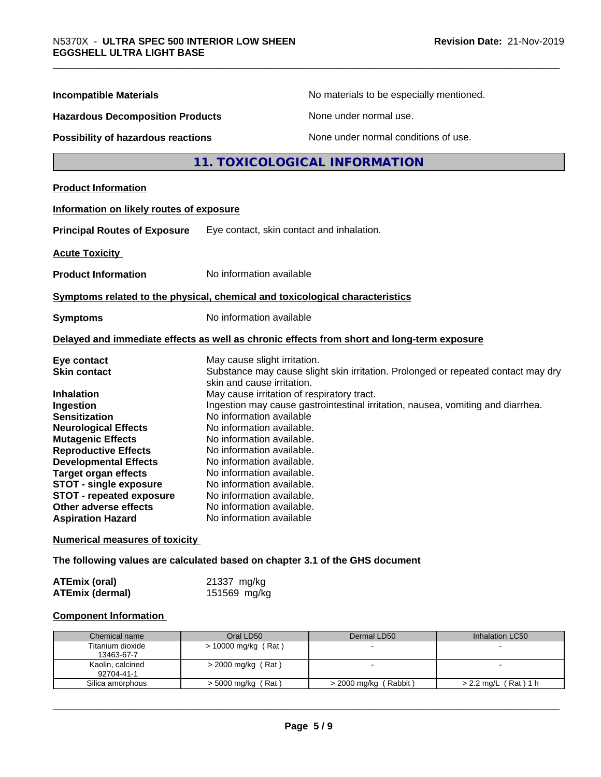| <b>Incompatible Materials</b>                           | No materials to be especially mentioned.                                                                    |  |
|---------------------------------------------------------|-------------------------------------------------------------------------------------------------------------|--|
| <b>Hazardous Decomposition Products</b>                 | None under normal use.                                                                                      |  |
| Possibility of hazardous reactions                      | None under normal conditions of use.                                                                        |  |
|                                                         | 11. TOXICOLOGICAL INFORMATION                                                                               |  |
| <b>Product Information</b>                              |                                                                                                             |  |
| Information on likely routes of exposure                |                                                                                                             |  |
| <b>Principal Routes of Exposure</b>                     | Eye contact, skin contact and inhalation.                                                                   |  |
| <b>Acute Toxicity</b>                                   |                                                                                                             |  |
| <b>Product Information</b>                              | No information available                                                                                    |  |
|                                                         | Symptoms related to the physical, chemical and toxicological characteristics                                |  |
| <b>Symptoms</b>                                         | No information available                                                                                    |  |
|                                                         | Delayed and immediate effects as well as chronic effects from short and long-term exposure                  |  |
| Eye contact                                             | May cause slight irritation.                                                                                |  |
| <b>Skin contact</b>                                     | Substance may cause slight skin irritation. Prolonged or repeated contact may dry                           |  |
|                                                         | skin and cause irritation.                                                                                  |  |
| <b>Inhalation</b>                                       | May cause irritation of respiratory tract.                                                                  |  |
| Ingestion                                               | Ingestion may cause gastrointestinal irritation, nausea, vomiting and diarrhea.<br>No information available |  |
| <b>Sensitization</b>                                    | No information available.                                                                                   |  |
| <b>Neurological Effects</b><br><b>Mutagenic Effects</b> | No information available.                                                                                   |  |
| <b>Reproductive Effects</b>                             | No information available.                                                                                   |  |
| <b>Developmental Effects</b>                            | No information available.                                                                                   |  |
| <b>Target organ effects</b>                             | No information available.                                                                                   |  |
| <b>STOT - single exposure</b>                           | No information available.                                                                                   |  |
| STOT - repeated exposure                                | No information available.                                                                                   |  |
| Other adverse effects                                   | No information available.                                                                                   |  |
| <b>Aspiration Hazard</b>                                | No information available                                                                                    |  |
| <b>Numerical measures of toxicity</b>                   |                                                                                                             |  |

**The following values are calculated based on chapter 3.1 of the GHS document**

| <b>ATEmix (oral)</b>   | 21337 mg/kg  |  |
|------------------------|--------------|--|
| <b>ATEmix (dermal)</b> | 151569 mg/kg |  |

#### **Component Information**

| Chemical name    | Oral LD50             | Dermal LD50             | Inhalation LC50        |
|------------------|-----------------------|-------------------------|------------------------|
| Titanium dioxide | $> 10000$ mg/kg (Rat) |                         |                        |
| 13463-67-7       |                       |                         |                        |
| Kaolin, calcined | $>$ 2000 mg/kg (Rat)  |                         |                        |
| 92704-41-1       |                       |                         |                        |
| Silica amorphous | > 5000 mg/kg (Rat)    | $>$ 2000 mg/kg (Rabbit) | $> 2.2$ mg/L (Rat) 1 h |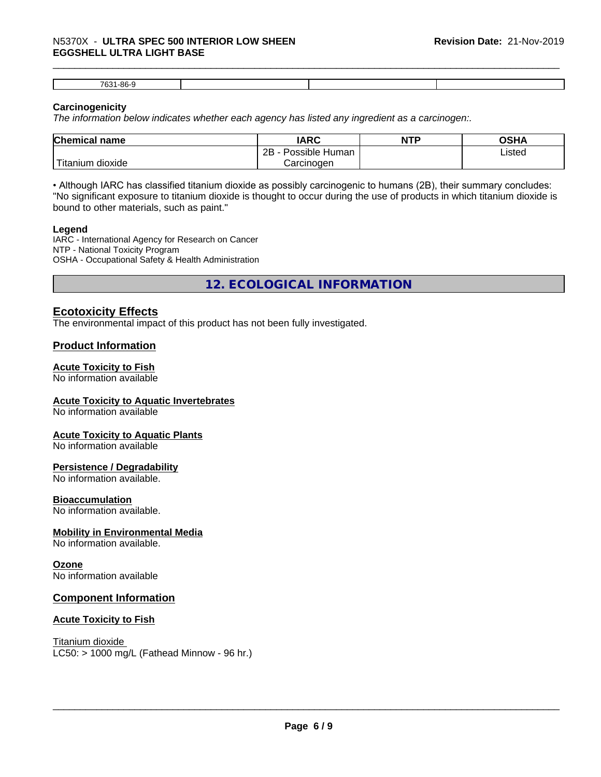## \_\_\_\_\_\_\_\_\_\_\_\_\_\_\_\_\_\_\_\_\_\_\_\_\_\_\_\_\_\_\_\_\_\_\_\_\_\_\_\_\_\_\_\_\_\_\_\_\_\_\_\_\_\_\_\_\_\_\_\_\_\_\_\_\_\_\_\_\_\_\_\_\_\_\_\_\_\_\_\_\_\_\_\_\_\_\_\_\_\_\_\_\_ N5370X - **ULTRA SPEC <sup>500</sup> INTERIOR LOW SHEEN EGGSHELL ULTRA LIGHT BASE**

| oc.<br>7004 |          |  |  |
|-------------|----------|--|--|
|             | ാറ<br>ບວ |  |  |

#### **Carcinogenicity**

*The information below indicateswhether each agency has listed any ingredient as a carcinogen:.*

| <b>Chemical name</b>              | <b>IARC</b>          | <b>NTP</b> | OSHA   |
|-----------------------------------|----------------------|------------|--------|
|                                   | Possible Human<br>2B |            | Listed |
| $-1$<br>dioxide<br><b>itanium</b> | Carcinogen           |            |        |

• Although IARC has classified titanium dioxide as possibly carcinogenic to humans (2B), their summary concludes: "No significant exposure to titanium dioxide is thought to occur during the use of products in which titanium dioxide is bound to other materials, such as paint."

#### **Legend**

IARC - International Agency for Research on Cancer NTP - National Toxicity Program OSHA - Occupational Safety & Health Administration

**12. ECOLOGICAL INFORMATION**

#### **Ecotoxicity Effects**

The environmental impact of this product has not been fully investigated.

#### **Product Information**

#### **Acute Toxicity to Fish**

No information available

#### **Acute Toxicity to Aquatic Invertebrates**

No information available

#### **Acute Toxicity to Aquatic Plants**

No information available

#### **Persistence / Degradability**

No information available.

#### **Bioaccumulation**

No information available.

#### **Mobility in Environmental Media**

No information available.

#### **Ozone**

No information available

#### **Component Information**

#### **Acute Toxicity to Fish**

Titanium dioxide  $LC50:$  > 1000 mg/L (Fathead Minnow - 96 hr.)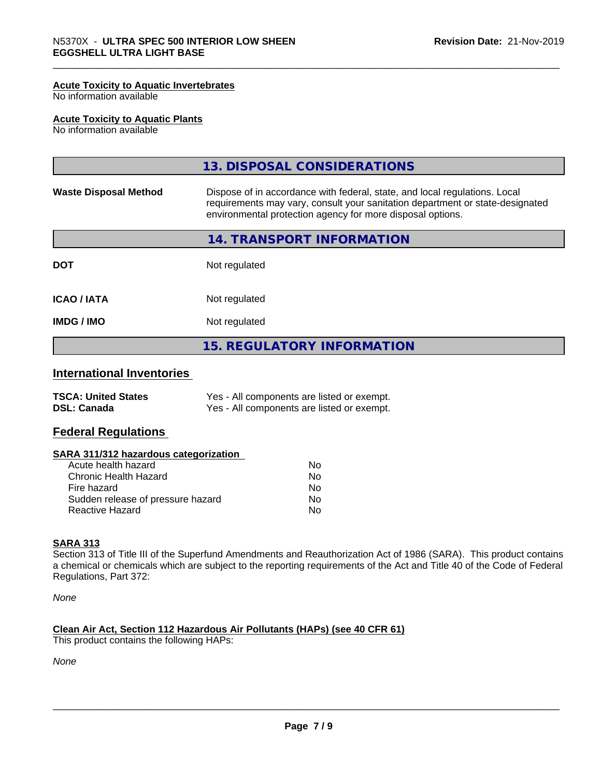#### **Acute Toxicity to Aquatic Invertebrates**

No information available

#### **Acute Toxicity to Aquatic Plants**

No information available

|                              | 13. DISPOSAL CONSIDERATIONS                                                                                                                                                                                               |
|------------------------------|---------------------------------------------------------------------------------------------------------------------------------------------------------------------------------------------------------------------------|
| <b>Waste Disposal Method</b> | Dispose of in accordance with federal, state, and local regulations. Local<br>requirements may vary, consult your sanitation department or state-designated<br>environmental protection agency for more disposal options. |
|                              | 14. TRANSPORT INFORMATION                                                                                                                                                                                                 |
| <b>DOT</b>                   | Not regulated                                                                                                                                                                                                             |
| <b>ICAO / IATA</b>           | Not regulated                                                                                                                                                                                                             |
| <b>IMDG / IMO</b>            | Not regulated                                                                                                                                                                                                             |
|                              | <b>15. REGULATORY INFORMATION</b>                                                                                                                                                                                         |

#### **International Inventories**

| <b>TSCA: United States</b> | Yes - All components are listed or exempt. |
|----------------------------|--------------------------------------------|
| <b>DSL: Canada</b>         | Yes - All components are listed or exempt. |

#### **Federal Regulations**

#### **SARA 311/312 hazardous categorization**

| Acute health hazard               | No |  |
|-----------------------------------|----|--|
| Chronic Health Hazard             | Nο |  |
| Fire hazard                       | N٥ |  |
| Sudden release of pressure hazard | Nο |  |
| Reactive Hazard                   | Nο |  |

#### **SARA 313**

Section 313 of Title III of the Superfund Amendments and Reauthorization Act of 1986 (SARA). This product contains a chemical or chemicals which are subject to the reporting requirements of the Act and Title 40 of the Code of Federal Regulations, Part 372:

*None*

#### **Clean Air Act,Section 112 Hazardous Air Pollutants (HAPs) (see 40 CFR 61)**

This product contains the following HAPs:

*None*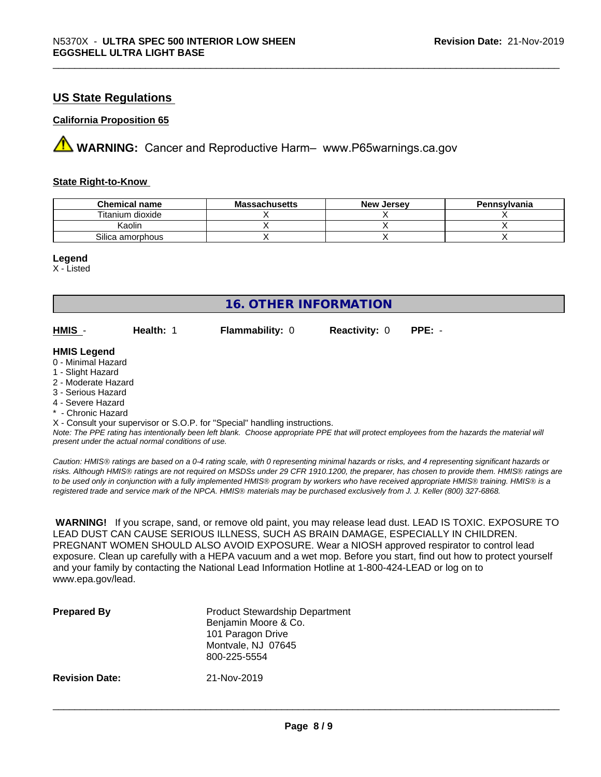#### **US State Regulations**

#### **California Proposition 65**

**A** WARNING: Cancer and Reproductive Harm– www.P65warnings.ca.gov

#### **State Right-to-Know**

| <b>Chemical name</b> | <b>Massachusetts</b> | <b>New Jersey</b> | Pennsylvania |
|----------------------|----------------------|-------------------|--------------|
| Titanium dioxide     |                      |                   |              |
| Kaolin               |                      |                   |              |
| Silica amorphous     |                      |                   |              |

#### **Legend**

X - Listed

| <b>16. OTHER INFORMATION</b>             |           |                        |                      |          |  |
|------------------------------------------|-----------|------------------------|----------------------|----------|--|
| HMIS -                                   | Health: 1 | <b>Flammability: 0</b> | <b>Reactivity: 0</b> | $PPE: -$ |  |
| <b>HMIS Legend</b><br>0 - Minimal Hazard |           |                        |                      |          |  |
| 1 - Slight Hazard                        |           |                        |                      |          |  |
| 2 - Moderate Hazard                      |           |                        |                      |          |  |
| 3 - Serious Hazard<br>4 - Severe Hazard  |           |                        |                      |          |  |
| * - Chronic Hazard                       |           |                        |                      |          |  |
|                                          |           |                        |                      |          |  |

X - Consult your supervisor or S.O.P. for "Special" handling instructions.

*Note: The PPE rating has intentionally been left blank. Choose appropriate PPE that will protect employees from the hazards the material will present under the actual normal conditions of use.*

*Caution: HMISÒ ratings are based on a 0-4 rating scale, with 0 representing minimal hazards or risks, and 4 representing significant hazards or risks. Although HMISÒ ratings are not required on MSDSs under 29 CFR 1910.1200, the preparer, has chosen to provide them. HMISÒ ratings are to be used only in conjunction with a fully implemented HMISÒ program by workers who have received appropriate HMISÒ training. HMISÒ is a registered trade and service mark of the NPCA. HMISÒ materials may be purchased exclusively from J. J. Keller (800) 327-6868.*

 **WARNING!** If you scrape, sand, or remove old paint, you may release lead dust. LEAD IS TOXIC. EXPOSURE TO LEAD DUST CAN CAUSE SERIOUS ILLNESS, SUCH AS BRAIN DAMAGE, ESPECIALLY IN CHILDREN. PREGNANT WOMEN SHOULD ALSO AVOID EXPOSURE. Wear a NIOSH approved respirator to control lead exposure. Clean up carefully with a HEPA vacuum and a wet mop. Before you start, find out how to protect yourself and your family by contacting the National Lead Information Hotline at 1-800-424-LEAD or log on to www.epa.gov/lead.

| <b>Prepared By</b>    | <b>Product Stewardship Department</b><br>Benjamin Moore & Co.<br>101 Paragon Drive<br>Montvale, NJ 07645<br>800-225-5554 |
|-----------------------|--------------------------------------------------------------------------------------------------------------------------|
| <b>Revision Date:</b> | 21-Nov-2019                                                                                                              |